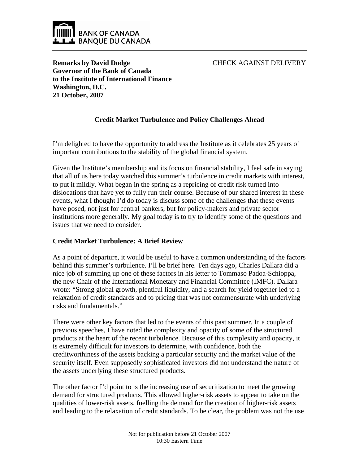

CHECK AGAINST DELIVERY

**Remarks by David Dodge Governor of the Bank of Canada to the Institute of International Finance Washington, D.C. 21 October, 2007**

# **Credit Market Turbulence and Policy Challenges Ahead**

I'm delighted to have the opportunity to address the Institute as it celebrates 25 years of important contributions to the stability of the global financial system.

Given the Institute's membership and its focus on financial stability, I feel safe in saying that all of us here today watched this summer's turbulence in credit markets with interest, to put it mildly. What began in the spring as a repricing of credit risk turned into dislocations that have yet to fully run their course. Because of our shared interest in these events, what I thought I'd do today is discuss some of the challenges that these events have posed, not just for central bankers, but for policy-makers and private sector institutions more generally. My goal today is to try to identify some of the questions and issues that we need to consider.

## **Credit Market Turbulence: A Brief Review**

As a point of departure, it would be useful to have a common understanding of the factors behind this summer's turbulence. I'll be brief here. Ten days ago, Charles Dallara did a nice job of summing up one of these factors in his letter to Tommaso Padoa-Schioppa, the new Chair of the International Monetary and Financial Committee (IMFC). Dallara wrote: "Strong global growth, plentiful liquidity, and a search for yield together led to a relaxation of credit standards and to pricing that was not commensurate with underlying risks and fundamentals."

There were other key factors that led to the events of this past summer. In a couple of previous speeches, I have noted the complexity and opacity of some of the structured products at the heart of the recent turbulence. Because of this complexity and opacity, it is extremely difficult for investors to determine, with confidence, both the creditworthiness of the assets backing a particular security and the market value of the security itself. Even supposedly sophisticated investors did not understand the nature of the assets underlying these structured products.

The other factor I'd point to is the increasing use of securitization to meet the growing demand for structured products. This allowed higher-risk assets to appear to take on the qualities of lower-risk assets, fuelling the demand for the creation of higher-risk assets and leading to the relaxation of credit standards. To be clear, the problem was not the use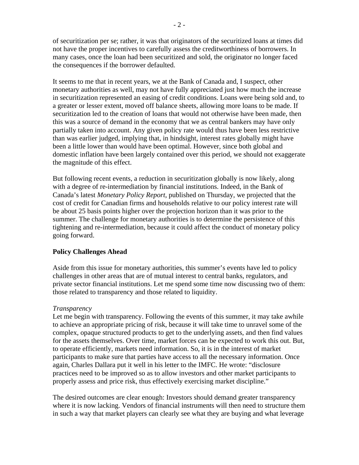of securitization per se; rather, it was that originators of the securitized loans at times did not have the proper incentives to carefully assess the creditworthiness of borrowers. In many cases, once the loan had been securitized and sold, the originator no longer faced the consequences if the borrower defaulted.

It seems to me that in recent years, we at the Bank of Canada and, I suspect, other monetary authorities as well, may not have fully appreciated just how much the increase in securitization represented an easing of credit conditions. Loans were being sold and, to a greater or lesser extent, moved off balance sheets, allowing more loans to be made. If securitization led to the creation of loans that would not otherwise have been made, then this was a source of demand in the economy that we as central bankers may have only partially taken into account. Any given policy rate would thus have been less restrictive than was earlier judged, implying that, in hindsight, interest rates globally might have been a little lower than would have been optimal. However, since both global and domestic inflation have been largely contained over this period, we should not exaggerate the magnitude of this effect.

But following recent events, a reduction in securitization globally is now likely, along with a degree of re-intermediation by financial institutions. Indeed, in the Bank of Canada's latest *Monetary Policy Report*, published on Thursday, we projected that the cost of credit for Canadian firms and households relative to our policy interest rate will be about 25 basis points higher over the projection horizon than it was prior to the summer. The challenge for monetary authorities is to determine the persistence of this tightening and re-intermediation, because it could affect the conduct of monetary policy going forward.

## **Policy Challenges Ahead**

Aside from this issue for monetary authorities, this summer's events have led to policy challenges in other areas that are of mutual interest to central banks, regulators, and private sector financial institutions. Let me spend some time now discussing two of them: those related to transparency and those related to liquidity.

#### *Transparency*

Let me begin with transparency. Following the events of this summer, it may take awhile to achieve an appropriate pricing of risk, because it will take time to unravel some of the complex, opaque structured products to get to the underlying assets, and then find values for the assets themselves. Over time, market forces can be expected to work this out. But, to operate efficiently, markets need information. So, it is in the interest of market participants to make sure that parties have access to all the necessary information. Once again, Charles Dallara put it well in his letter to the IMFC. He wrote: "disclosure practices need to be improved so as to allow investors and other market participants to properly assess and price risk, thus effectively exercising market discipline."

The desired outcomes are clear enough: Investors should demand greater transparency where it is now lacking. Vendors of financial instruments will then need to structure them in such a way that market players can clearly see what they are buying and what leverage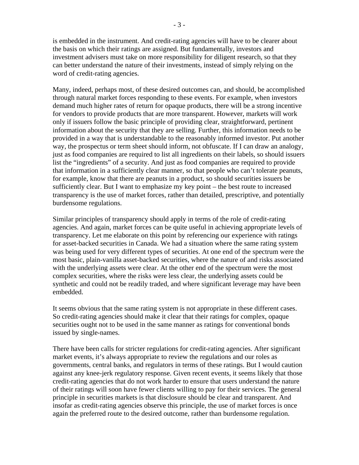is embedded in the instrument. And credit-rating agencies will have to be clearer about the basis on which their ratings are assigned. But fundamentally, investors and investment advisers must take on more responsibility for diligent research, so that they can better understand the nature of their investments, instead of simply relying on the word of credit-rating agencies.

Many, indeed, perhaps most, of these desired outcomes can, and should, be accomplished through natural market forces responding to these events. For example, when investors demand much higher rates of return for opaque products, there will be a strong incentive for vendors to provide products that are more transparent. However, markets will work only if issuers follow the basic principle of providing clear, straightforward, pertinent information about the security that they are selling. Further, this information needs to be provided in a way that is understandable to the reasonably informed investor. Put another way, the prospectus or term sheet should inform, not obfuscate. If I can draw an analogy, just as food companies are required to list all ingredients on their labels, so should issuers list the "ingredients" of a security. And just as food companies are required to provide that information in a sufficiently clear manner, so that people who can't tolerate peanuts, for example, know that there are peanuts in a product, so should securities issuers be sufficiently clear. But I want to emphasize my key point – the best route to increased transparency is the use of market forces, rather than detailed, prescriptive, and potentially burdensome regulations.

Similar principles of transparency should apply in terms of the role of credit-rating agencies. And again, market forces can be quite useful in achieving appropriate levels of transparency. Let me elaborate on this point by referencing our experience with ratings for asset-backed securities in Canada. We had a situation where the same rating system was being used for very different types of securities. At one end of the spectrum were the most basic, plain-vanilla asset-backed securities, where the nature of and risks associated with the underlying assets were clear. At the other end of the spectrum were the most complex securities, where the risks were less clear, the underlying assets could be synthetic and could not be readily traded, and where significant leverage may have been embedded.

It seems obvious that the same rating system is not appropriate in these different cases. So credit-rating agencies should make it clear that their ratings for complex, opaque securities ought not to be used in the same manner as ratings for conventional bonds issued by single-names.

There have been calls for stricter regulations for credit-rating agencies. After significant market events, it's always appropriate to review the regulations and our roles as governments, central banks, and regulators in terms of these ratings. But I would caution against any knee-jerk regulatory response. Given recent events, it seems likely that those credit-rating agencies that do not work harder to ensure that users understand the nature of their ratings will soon have fewer clients willing to pay for their services. The general principle in securities markets is that disclosure should be clear and transparent. And insofar as credit-rating agencies observe this principle, the use of market forces is once again the preferred route to the desired outcome, rather than burdensome regulation.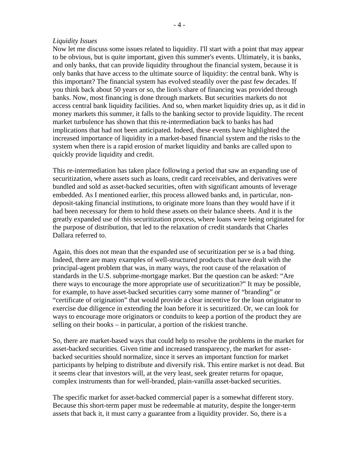### *Liquidity Issues*

Now let me discuss some issues related to liquidity. I'll start with a point that may appear to be obvious, but is quite important, given this summer's events. Ultimately, it is banks, and only banks, that can provide liquidity throughout the financial system, because it is only banks that have access to the ultimate source of liquidity: the central bank. Why is this important? The financial system has evolved steadily over the past few decades. If you think back about 50 years or so, the lion's share of financing was provided through banks. Now, most financing is done through markets. But securities markets do not access central bank liquidity facilities. And so, when market liquidity dries up, as it did in money markets this summer, it falls to the banking sector to provide liquidity. The recent market turbulence has shown that this re-intermediation back to banks has had implications that had not been anticipated. Indeed, these events have highlighted the increased importance of liquidity in a market-based financial system and the risks to the system when there is a rapid erosion of market liquidity and banks are called upon to quickly provide liquidity and credit.

This re-intermediation has taken place following a period that saw an expanding use of securitization, where assets such as loans, credit card receivables, and derivatives were bundled and sold as asset-backed securities, often with significant amounts of leverage embedded. As I mentioned earlier, this process allowed banks and, in particular, nondeposit-taking financial institutions, to originate more loans than they would have if it had been necessary for them to hold these assets on their balance sheets. And it is the greatly expanded use of this securitization process, where loans were being originated for the purpose of distribution, that led to the relaxation of credit standards that Charles Dallara referred to.

Again, this does not mean that the expanded use of securitization per se is a bad thing. Indeed, there are many examples of well-structured products that have dealt with the principal-agent problem that was, in many ways, the root cause of the relaxation of standards in the U.S. subprime-mortgage market. But the question can be asked: "Are there ways to encourage the more appropriate use of securitization?" It may be possible, for example, to have asset-backed securities carry some manner of "branding" or "certificate of origination" that would provide a clear incentive for the loan originator to exercise due diligence in extending the loan before it is securitized. Or, we can look for ways to encourage more originators or conduits to keep a portion of the product they are selling on their books – in particular, a portion of the riskiest tranche.

So, there are market-based ways that could help to resolve the problems in the market for asset-backed securities. Given time and increased transparency, the market for assetbacked securities should normalize, since it serves an important function for market participants by helping to distribute and diversify risk. This entire market is not dead. But it seems clear that investors will, at the very least, seek greater returns for opaque, complex instruments than for well-branded, plain-vanilla asset-backed securities.

The specific market for asset-backed commercial paper is a somewhat different story. Because this short-term paper must be redeemable at maturity, despite the longer-term assets that back it, it must carry a guarantee from a liquidity provider. So, there is a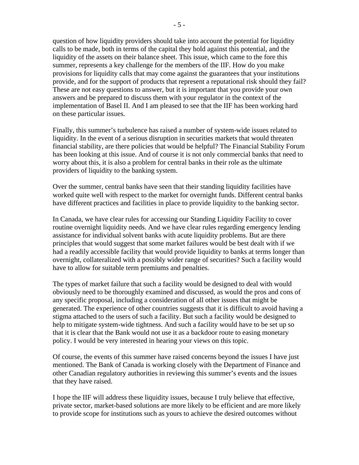question of how liquidity providers should take into account the potential for liquidity calls to be made, both in terms of the capital they hold against this potential, and the liquidity of the assets on their balance sheet. This issue, which came to the fore this summer, represents a key challenge for the members of the IIF. How do you make provisions for liquidity calls that may come against the guarantees that your institutions provide, and for the support of products that represent a reputational risk should they fail? These are not easy questions to answer, but it is important that you provide your own answers and be prepared to discuss them with your regulator in the context of the implementation of Basel II. And I am pleased to see that the IIF has been working hard on these particular issues.

Finally, this summer's turbulence has raised a number of system-wide issues related to liquidity. In the event of a serious disruption in securities markets that would threaten financial stability, are there policies that would be helpful? The Financial Stability Forum has been looking at this issue. And of course it is not only commercial banks that need to worry about this, it is also a problem for central banks in their role as the ultimate providers of liquidity to the banking system.

Over the summer, central banks have seen that their standing liquidity facilities have worked quite well with respect to the market for overnight funds. Different central banks have different practices and facilities in place to provide liquidity to the banking sector.

In Canada, we have clear rules for accessing our Standing Liquidity Facility to cover routine overnight liquidity needs. And we have clear rules regarding emergency lending assistance for individual solvent banks with acute liquidity problems. But are there principles that would suggest that some market failures would be best dealt with if we had a readily accessible facility that would provide liquidity to banks at terms longer than overnight, collateralized with a possibly wider range of securities? Such a facility would have to allow for suitable term premiums and penalties.

The types of market failure that such a facility would be designed to deal with would obviously need to be thoroughly examined and discussed, as would the pros and cons of any specific proposal, including a consideration of all other issues that might be generated. The experience of other countries suggests that it is difficult to avoid having a stigma attached to the users of such a facility. But such a facility would be designed to help to mitigate system-wide tightness. And such a facility would have to be set up so that it is clear that the Bank would not use it as a backdoor route to easing monetary policy. I would be very interested in hearing your views on this topic.

Of course, the events of this summer have raised concerns beyond the issues I have just mentioned. The Bank of Canada is working closely with the Department of Finance and other Canadian regulatory authorities in reviewing this summer's events and the issues that they have raised.

I hope the IIF will address these liquidity issues, because I truly believe that effective, private sector, market-based solutions are more likely to be efficient and are more likely to provide scope for institutions such as yours to achieve the desired outcomes without